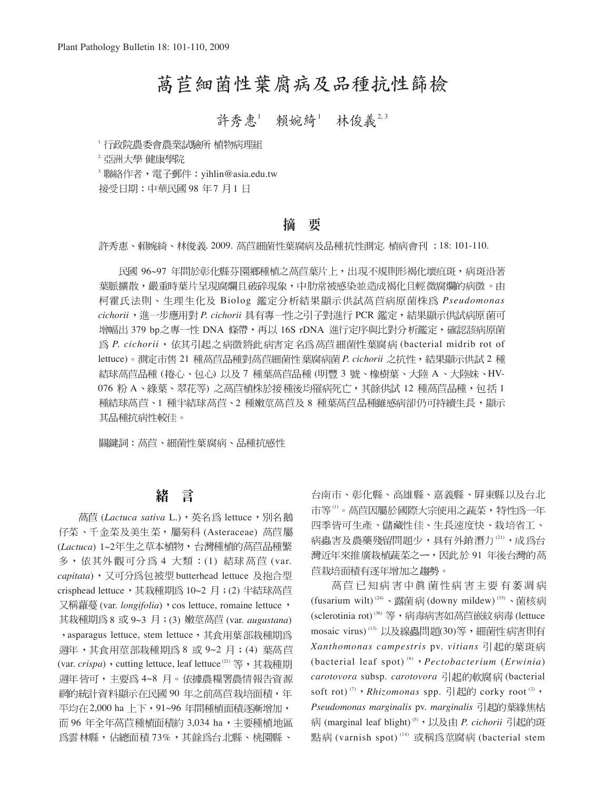# 萵苣細菌性葉腐病及品種抗性篩檢

## 許秀惠1 賴婉綺1 林俊義2,3

·行政院農委會農業試驗所 植物病理組

2. 亞洲大學 健康學院

 $3.$ 聯絡作者,電子郵件:yihlin@asia.edu.tw

接受日期:中華民國98年7月1日

#### 要 摘

許秀惠、賴婉綺、林俊義. 2009. 萵苣細菌性葉腐病及品種抗性測定. 植病會刊 :18: 101-110.

民國 96~97 年間於彰化縣芬園鄉種植之萵苣葉片上,出現不規則形褐化壞疽斑,病斑沿著 葉脈擴散,嚴重時葉片呈現腐爛且破碎現象,中肋常被感染並造成褐化且輕微腐爛的病徵。由 柯霍氏法則、生理生化及 Biolog 鑑定分析結果顯示供試萵苣病原菌株為 Pseudomonas cichorii, 進一步應用對 P. cichorii 具有專一性之引子對進行 PCR 鑑定, 結果顯示供試病原菌可 增幅出 379 bp之專一性 DNA 條帶,再以 16S rDNA 進行定序與比對分析鑑定,確認該病原菌 爲 P. cichorii, 依其引起之病徵將此病害定名爲萵苣細菌性葉腐病 (bacterial midrib rot of lettuce)。測定市售 21 種萵苣品種對萵苣細菌性葉腐病菌 P. cichorii 之抗性,結果顯示供試 2 種 結球萵苣品種 (捲心、包心) 以及 7 種葉萵苣品種 (明豐 3 號、橡樹葉、大陸 A、大陸妹、HV-076 粉 A、綠葉、翠花等) 之萵苣植株於接種後均罹病死亡,其餘供試 12 種萵苣品種,包括 1 種結球萵苣、1 種半結球萵苣、2 種嫩莖萵苣及 8 種葉萵苣品種雖感病卻仍可持續生長,顯示 其品種抗病性較佳。

關鍵詞:萵苣、細菌性葉腐病、品種抗感性

#### 緖 言

高苣 (Lactuca sativa L.), 英名為 lettuce, 別名鵝 仔菜、千金菜及美生菜,屬菊科 (Asteraceae) 萵苣屬 (*Lactuca*) 1~2 多, 依其外觀可分爲 4 大類: (1) 結球 萵苣 (var. capitata), 又可分爲包被型 butterhead lettuce 及抱合型 crisphead lettuce, 其栽種期為 10~2 月; (2) 半結球萵苣 又稱蘿蔓 (var. *longifolia*) , cos lettuce, romaine lettuce, 其栽種期為 8 或 9~3 月 ; (3) 嫩莖萵苣 (var. *augustana*) , asparagus lettuce, stem lettuce, 其食用葉部栽種期為 调年,其食用莖部栽種期為 8 或 9~2 月; (4) 葉萵苣 (var. *crispa*), cutting lettuce, leaf lettuce<sup>(21)</sup> 等, 其栽種期 週年皆可,主要為 4~8 月。依據農糧署農情報告資源 網的統計資料顯示在民國 90 年之前萵苣栽培面積,年 平均在 2,000 ha 上下, 91~96 年間種植面積逐漸增加, 而 96 年全年萵苣種植面積約 3,034 ha, 主要種植地區 為雲林縣,佔總面積73%,其餘為台北縣、桃園縣、

台南市、彰化縣、高雄縣、嘉義縣、屛東縣以及台北 市等<sup>(1)</sup>。萵苣因屬於國際大宗使用之蔬菜,特性為一年 四季皆可生產、儲藏性佳、生長速度快、栽培省工、 病蟲害及農藥殘留問題少,具有外銷潛力(21),成為台 灣近年來推廣栽植蔬菜之一,因此於91年後台灣的萵 苣栽培面積有逐年增加之趨勢。

萵苣已知病害中真菌性病害主要有萎凋病 (fusarium wilt)<sup>(24)</sup>、露菌病 (downy mildew)<sup>(35)</sup>、菌核病 (sclerotinia rot)<sup>(36)</sup> 等, 病毒病害如萵苣嵌紋病毒(lettuce mosaic virus)<sup>(13)</sup> 以及線蟲問題(30)等, 細菌性病害則有 *Xanthomonas campestris* pv. *vitians* (bacterial leaf spot) (6) *Pectobacterium* (*Erwinia*) carotovora subsp. carotovora 引起的軟腐病 (bacterial soft rot)<sup>(7)</sup> *Rhizomonas* spp. 引起的 corky root<sup>(2)</sup> *, Pseudomonas marginalis* pv. *marginalis* (marginal leaf blight) (5) *P. cichorii*  點病 (varnish spot)<sup>(14)</sup> 或稱為莖腐病 (bacterial stem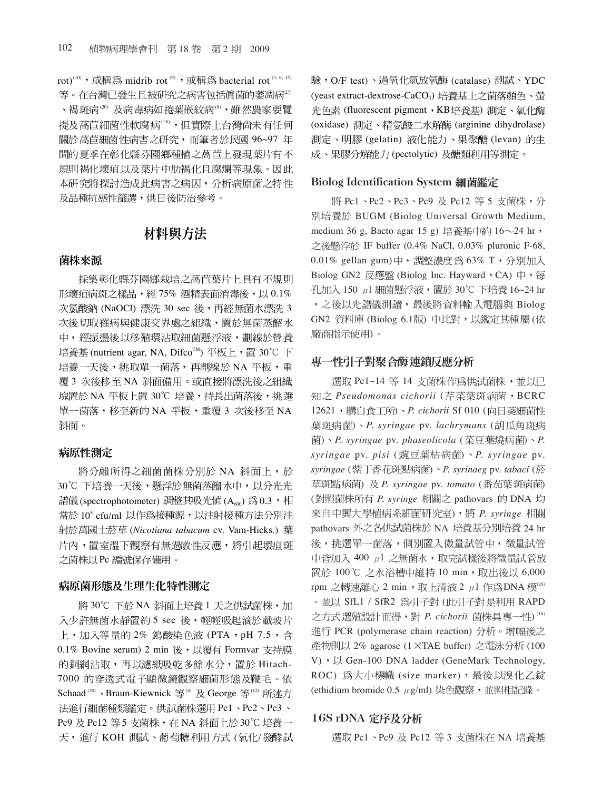rot)<sup>(10)</sup>, 或稱為 midrib rot<sup>(9)</sup>, 或稱為 bacterial rot<sup>(3, 6, 15)</sup> 等。在台灣已發生且被研究之病害包括真菌的萎凋病27) 、褐斑病(20) 及病毒病如捲葉嵌紋病(8),雖然農家要覽 提及萵苣細菌性軟腐病(18),但實際上台灣尚未有任何 關於萵苣細菌性病害之研究,而筆者於民國 96~97年 間的夏季在彰化縣芬園鄉種植之萵苣上發現葉片有不 規則褐化壞疽以及葉片中肋褐化且腐爛等現象。因此 本研究將探討造成此病害之病因,分析病原菌之特性 及品種抗感性篩選,供日後防治參考。

### 材料與方法

#### 菌株來源

採集彰化縣芬園鄉栽培之萵苣葉片上具有不規則 形壞疽病斑之樣品,經75%酒精表面消毒後,以0.1% 次氯酸鈉 (NaOCl) 漂洗 30 sec 後,再經無菌水漂洗 3 次後切取罹病與健康交界處之組織,置於無菌蒸餾水 中,經振盪後以移殖環沾取細菌懸浮液,劃線於營養 培養基 (nutrient agar, NA, Difco™) 平板上, 置 30℃ 下 培養一天後,挑取單一菌落,再劃線於 NA 平板,重 覆 3 次後移至 NA 斜面備用。或直接將漂洗後之組織 塊置於 NA 平板上置 30℃ 培養,待長出菌落後,挑選 單一菌落,移至新的 NA 平板,重覆 3 次後移至 NA 斜面。

#### 病原性測定

將分離所得之細菌菌株分別於 NA 斜面上,於 30℃ 下培養一天後,懸浮於無菌蒸餾水中,以分光光 譜儀 (spectrophotometer) 調整其吸光値 (A<sub>600</sub>) 為 0.3, 相 當於 10° cfu/ml 以作為接種源,以注射接種方法分別注 (*Nicotiana tabacum* cv. Vam-Hicks.) 片內,置室溫下觀察有無過敏性反應,將引起壞疽斑 之菌株以Pc 編號保存備用。

#### 病原菌形態及生理生化特性測定

將 30℃ 下於 NA 斜面上培養 1 天之供試菌株, 加 入少許無菌水靜置約5 sec 後,輕輕吸起滴於載玻片 上,加入等量的 2% 鎢酸染色液 (PTA,pH 7.5,含 0.1% Bovine serum) 2 min 後, 以覆有 Formvar 支持膜 的銅網沾取,再以濾紙吸乾多餘水分,置於 Hitach-7000 的穿透式電子顯微鏡觀察細菌形態及鞭毛。依 Schaad<sup>(30)</sup>、Braun-Kiewnick 等<sup>(4)</sup> 及 George 等<sup>(12)</sup> 所述方 法進行細菌種類鑑定。供試菌株選用 Pc1、Pc2、Pc3、 Pc9 及 Pc12 等5 支菌株, 在 NA 斜面上於 30℃ 培養一 天,進行 KOH 測試、葡萄糖利用方式 (氧化/發酵試 驗, O/F test)、過氧化氫放氧酶 (catalase) 測試、YDC (yeast extract-dextrose-CaCO<sub>3</sub>)培養基上之菌落顏色、螢 光色素 (fluorescent pigment, KB培養基) 測定、氧化酶 (oxidase) 測定、精氨酸二水解酶 (arginine dihydrolase) 測定、明膠 (gelatin) 液化能力、果聚醣 (levan) 的生 成、果膠分解能力 (pectolytic) 及醣類利用等測定。

#### **Biolog Identification System 細菌鑑定**

將 Pc1、Pc2、Pc3、Pc9 及 Pc12 等 5 支菌株,分 BUGM (Biolog Universal Growth Medium, medium 36 g, Bacto agar 15 g) 培養基中約 16 $\sim$ 24 hr, 之後懸浮於 IF buffer (0.4% NaCl, 0.03% pluronic F-68,  $0.01\%$  gellan gum)中,調整濃度為 63% T,分別加入 Biolog GN2 反應盤 (Biolog Inc. Hayward, CA) 中,每 孔加入 150 μl 細菌懸浮液,置於 30℃ 下培養 16~24 hr ,之後以光譜儀測讀,最後將資料輸入電腦與 Biolog GN2 資料庫 (Biolog 6.1版) 中比對,以鑑定其種屬 (依 廠商指示使用)。

### 專一性引子對聚合酶連鎖反應分析

選取 Pc1~14 等 14 支菌株作為供試菌株,並以已 知之 Pseudomonas cichorii (芹菜葉斑病菌, BCRC 12621, 購自食工所)、P. cichorii Sf 010 (向日葵細菌性 ) *P. syringae* pv. *lachrymans* (  $E$ ) · P. syringae pv. phaseolicola (菜豆葉燒病菌) · P. *syringae* pv. *pisi* ( ) *P. syringae* pv. *syringae* ( ) *P. syrinaeg* pv. *tabaci* ( 草斑點病菌) 及 P. syringae pv. tomato (番茄葉斑病菌) (對照菌株所有 P. syringe 相關之 pathovars 的 DNA 均 ) *P. syringe*  pathovars 外之各供試菌株於 NA 培養基分別培養 24 hr 後,挑選單一菌落,個別置入微量試管中,微量試管 中皆加入 400 µ1 之無菌水, 取完試樣後將微量試管放 置於 100℃ 之水浴槽中維持 10 min, 取出後以 6,000 rpm 之轉速離心 2 min,取上清液 2  $\mu$ 1 作為DNA 模 $^{\text{\tiny{(26)}}}$ 。並以 SfL1 / SfR2 為引子對 (此引子對是利用 RAPD 之方式選殖設計而得,對 P. cichorii 菌株具專一性)<sup>(16)</sup> 進行 PCR (polymerase chain reaction) 分析。增幅後之 產物則以 2% agarose (1 ×TAE buffer) 之電泳分析 (100  $V)$  ,  $\mathcal{Y}$  Gen-100 DNA ladder (GeneMark Technology, ROC) 為大小標幟 (size marker), 最後以溴化乙錠 (ethidium bromide  $0.5 \mu$  g/ml) 染色觀察,並照相記錄。

#### 16S rDNA

選取 Pc1、Pc9 及 Pc12 等 3 支菌株在 NA 培養基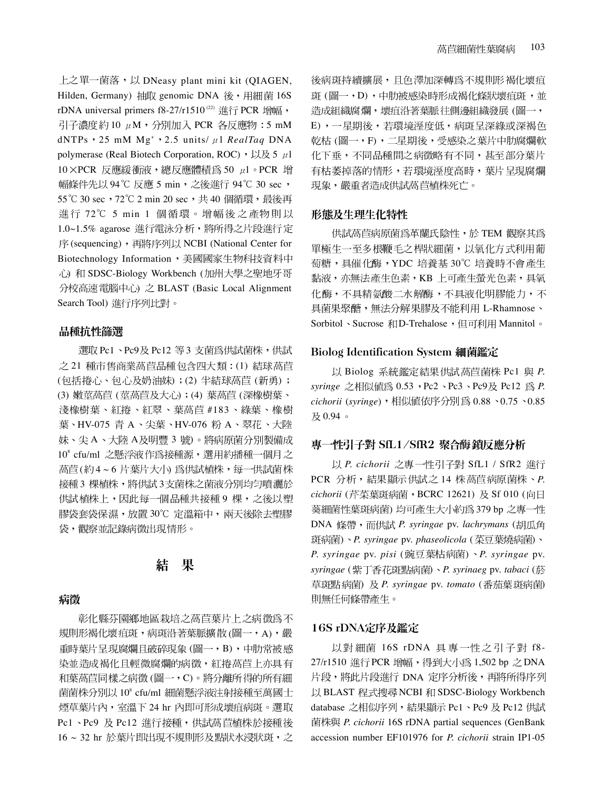上之單一菌落, 以 DNeasy plant mini kit (QIAGEN, Hilden, Germany) 抽取 genomic DNA 後, 用細菌 16S rDNA universal primers f8-27/r1510<sup>(22)</sup> 進行 PCR 增幅, 引子濃度約10  $\mu$ M, 分別加入 PCR 各反應物: 5 mM dNTPs · 25 mM Mg<sup>+</sup> · 2.5 units/  $\mu$  *l RealTaq DNA* polymerase (Real Biotech Corporation, ROC)  $\cdot \cup \otimes 5 \mu$  $10 \times PCR$  反應緩衝液,總反應體積為 50  $\mu$ l。PCR 增 幅條件先以 94℃ 反應 5 min, 之後進行 94℃ 30 sec, 55°C 30 sec, 72°C 2 min 20 sec, 共40個循環, 最後再 進行 72℃ 5 min 1 個循環。增幅後之產物則以 1.0~1.5% agarose 進行電泳分析,將所得之片段進行定 序(sequencing), 再將序列以 NCBI (National Center for Biotechnology Information, 美國國家生物科技資料中 心) 和 SDSC-Biology Workbench (加州大學之聖地牙哥 分校高速電腦中心) 之 BLAST (Basic Local Alignment Search Tool) 進行序列比對。

#### 品種抗性篩選

選取 Pc1、Pc9及 Pc12 等 3 支菌為供試菌株,供試 之 21 種市售商業萵苣品種包含四大類: (1) 結球萵苣 (包括捲心、包心及奶油妹);(2) 半結球萵苣(新勇); (3) 嫩莖萵苣 (莖萵苣及大心);(4) 葉萵苣 (深橡樹葉、 淺橡樹葉、紅捲、紅翠、葉萵苣 #183、綠葉、橡樹 葉、HV-075 青 A、尖葉、HV-076 粉 A、翠花、大陸 妹、尖 A、大陸 A及明豐 3號)。將病原菌分別製備成 10<sup>8</sup> cfu/ml 之懸浮液作為接種源,選用約播種一個月之 萵苣(約4~6片葉片大小) 為供試植株,每一供試菌株 接種3棵植株,將供試3支菌株之菌液分別均匀噴灑於 供試植株上,因此每一個品種共接種9棵,之後以塑 膠袋套袋保濕,放置30℃定溫箱中,兩天後除去塑膠 袋,觀察並記錄病徵出現情形。

#### 結 果

### 病徵

彰化縣芬園鄉地區栽培之萵苣葉片上之病徵為不 規則形褐化壞疽斑,病斑沿著葉脈擴散(圖一,A),嚴 重時葉片呈現腐爛且破碎現象 (圖一, B), 中肋常被感 染並造成褐化且輕微腐爛的病徵,紅捲萵苣上亦具有 和葉萵苣同樣之病徵(圖一,C)。將分離所得的所有細 菌菌株分別以 10° cfu/ml 細菌懸浮液注射接種至萬國士 煙草葉片內,室溫下 24 hr 內即可形成壞疽病斑。選取 Pc1、Pc9 及 Pc12 進行接種,供試萵苣植株於接種後 16 ~ 32 hr 於葉片即出現不規則形及點狀水浸狀斑,之

後病斑持續擴展,且色澤加深轉為不規則形褐化壞疽 斑 (圖一,D),中肋被感染時形成褐化條狀壞疽斑,並 造成組織腐爛,壞疽沿著葉脈往側邊組織發展(圖一, E), 一星期後, 若環境溼度低, 病斑呈深綠或深褐色 乾枯 (圖一,F), 二星期後, 受感染之葉片中肋腐爛軟 化下垂,不同品種間之病徵略有不同,甚至部分葉片 有枯萎掉落的情形,若環境溼度高時,葉片呈現腐爛 現象,嚴重者造成供試萵苣植株死亡。

#### 形態及生理生化特性

供試萵苣病原菌爲革蘭氏陰性,於 TEM 觀察其爲 單極生一至多根鞭毛之桿狀細菌,以氧化方式利用葡 萄糖,具催化酶, YDC 培養基 30℃ 培養時不會產生 黏液,亦無法產生色素,KB 上可產生螢光色素,具氧 化酶,不具精氨酸二水解酶,不具液化明膠能力,不 具菌果聚醣, 無法分解果膠及不能利用 L-Rhamnose、 Sorbitol、Sucrose 和D-Trehalose, 但可利用 Mannitol。

#### **Biolog Identification System 細菌鑑定**

以 Biolog 系統鑑定結果供試萵苣菌株 Pc1 與 P. *syringe* 之相似值為 0.53,Pc2、Pc3、Pc9及 Pc12 為 *P*. *cichorii* (*syringe*),相似值依序分別為 0.88、0.75、0.85 及0.94。

#### 專一性引子對 SfL1/SfR2 聚合酶 鎖反應分析

以 P. cichorii 之專一性引子對 SfL1 / SfR2 進行 PCR 分析, 結果顯示供試之 14 株萵苣病原菌株、P. *cichorii* (芹菜葉斑病菌, BCRC 12621) 及 Sf 010 (向日 葵細菌性葉斑病菌) 均可產生大小約為 379 bp 之專一性 DNA 條帶, 而供試 P. syringae pv. lachrymans (胡瓜角 ) *P. syringae* pv. *phaseolicola* ( ) *P. syringae* pv. *pisi* ( ) *P. syringae* pv. *syringae* ( ) *P. syrinaeg* pv. *tabaci* ( 草斑點病菌) 及 P. syringae pv. tomato (番茄葉斑病菌) 則無任何條帶產生。

#### 16S rDNA

以對細菌 16S rDNA 具專一性之引子對 f8-27/r1510 進行 PCR 增幅,得到大小為 1,502 bp 之 DNA 片段,將此片段進行 DNA 定序分析後,再將所得序列 以 BLAST 程式搜尋 NCBI 和 SDSC-Biology Workbench database 之相似序列,結果顯示 Pc1、Pc9 及 Pc12 供試 *P. cichorii* 16S rDNA partial sequences (GenBank accession number EF101976 for *P. cichorii* strain IP1-05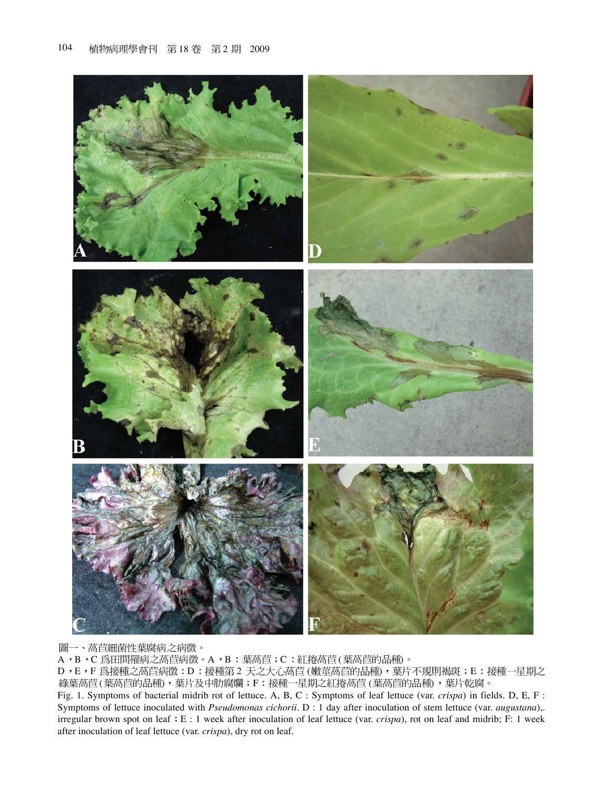

圖一、萵苣細菌性葉腐病之病徵。

A, B, C為田間罹病之萵苣病徵。A, B: 葉萵苣; C: 紅捲萵苣(葉萵苣的品種)。

D, E, F 為接種之萵苣病徵: D: 接種第2天之大心萵苣(嫩莖萵苣的品種), 葉片不規則褐斑; E: 接種一星期之 綠葉萵苣(葉萵苣的品種),葉片及中肋腐爛;F:接種一星期之紅捲萵苣(葉萵苣的品種),葉片乾腐。

Fig. 1. Symptoms of bacterial midrib rot of lettuce. A, B, C : Symptoms of leaf lettuce (var. *crispa*) in fields. D, E, F : Symptoms of lettuce inoculated with *Pseudomonas cichorii.* D : 1 day after inoculation of stem lettuce (var. *augustana*),. irregular brown spot on leaf  $E: 1$  week after inoculation of leaf lettuce (var. *crispa*), rot on leaf and midrib; F: 1 week after inoculation of leaf lettuce (var. *crispa*), dry rot on leaf.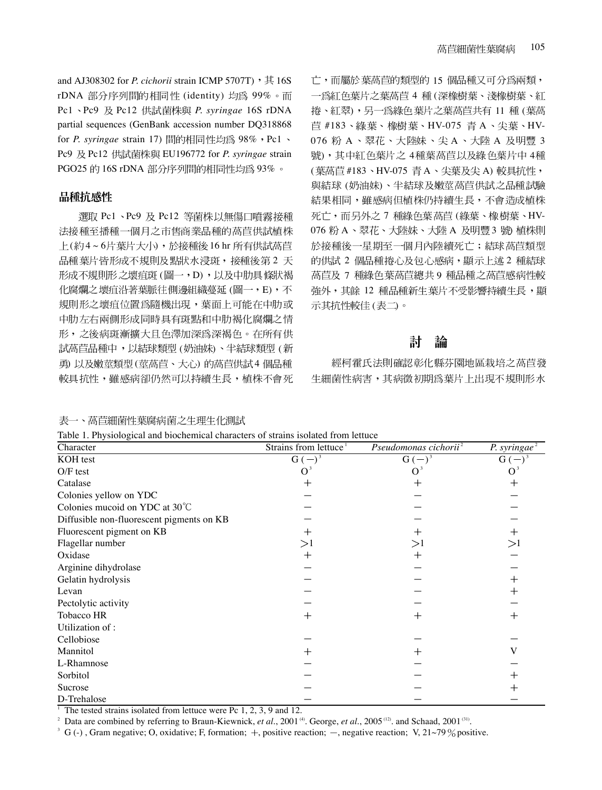and AJ308302 for *P. cichorii* strain ICMP 5707T), 其16S rDNA 部分序列間的相同性 (identity) 均為 99%。而 Pc1、Pc9 及 Pc12 供試菌株與 P. syringae 16S rDNA partial sequences (GenBank accession number DQ318868 for *P. syringae* strain 17) 間的相同性均為 98%, Pc1、 Pc9 及 Pc12 供試菌株與 EU196772 for *P. syringae* strain PGO25 的 16S rDNA 部分序列間的相同性均為 93%。

### 品種抗感性

選取 Pc1、Pc9 及 Pc12 等菌株以無傷口噴霧接種 法接種至播種一個月之市售商業品種的萵苣供試植株 上(約4~6片葉片大小),於接種後16 hr 所有供試萵苣 品種葉片皆形成不規則及點狀水浸斑,接種後第2 天 形成不規則形之壞疽斑 (圖一,D),以及中肋具條狀褐 化腐爛之壞疽沿著葉脈往側邊組織蔓延 (圖一,E),不 規則形之壞疽位置為隨機出現,葉面上可能在中肋或 中肋左右兩側形成同時具有斑點和中肋褐化腐爛之情 形,之後病斑漸擴大且色澤加深為深褐色。在所有供 試萵苣品種中,以結球類型 (奶油妹)、半結球類型 (新 勇) 以及嫩莖類型(莖萵苣、大心) 的萵苣供試4個品種 較具抗性,雖感病卻仍然可以持續生長,植株不會死

105 萵苣細菌性葉腐病 亡,而屬於葉萵苣的類型的 15個品種又可分為兩類, 一為紅色葉片之葉萵苣 4 種(深橡樹葉、淺橡樹葉、紅 捲、紅翠),另一為綠色葉片之葉萵苣共有 11種(葉萵 苣 #183、綠葉、橡樹葉、HV-075 青 A、尖葉、HV-076 粉 A、翠花、大陸妹、尖 A、大陸 A 及明豐 3 號),其中紅色葉片之4種葉萵苣以及綠色葉片中4種 (葉萵苣 #183、HV-075 青 A、尖葉及尖 A) 較具抗性, 與結球(奶油妹)、半結球及嫩莖萵苣供試之品種試驗 結果相同,雖感病但植株仍持續生長,不會造成植株 死亡,而另外之7種綠色葉萵苣(綠葉、橡樹葉、HV-076 粉 A、翠花、大陸妹、大陸 A 及明豐 3 號) 植株則 於接種後一星期至一個月內陸續死亡;結球萵苣類型 的供試 2 個品種捲心及包心感病,顯示上述 2 種結球 萵苣及 7 種綠色葉萵苣總共9 種品種之萵苣感病性較 強外,其餘12種品種新生葉片不受影響持續生長,顯 示其抗性較佳(表二)。

#### 討 論

經柯霍氏法則確認彰化縣芬園地區栽培之萵苣發 生細菌性病害,其病徵初期為葉片上出現不規則形水

#### 表一、萵苣細菌性葉腐病菌之生理生化測試

| Character                                 | Strains from lettuce <sup>1</sup> | Pseudomonas cichorii <sup>2</sup> | P. syringae $^2$ |
|-------------------------------------------|-----------------------------------|-----------------------------------|------------------|
| KOH test                                  | $G(-)^3$                          | $G(-)^3$                          | G (              |
| $O/F$ test                                |                                   | O                                 |                  |
| Catalase                                  |                                   | $^+$                              |                  |
| Colonies yellow on YDC                    |                                   |                                   |                  |
| Colonies mucoid on YDC at 30°C            |                                   |                                   |                  |
| Diffusible non-fluorescent pigments on KB |                                   |                                   |                  |
| Fluorescent pigment on KB                 |                                   |                                   | ┿                |
| Flagellar number                          | >1                                | >1                                | >1               |
| Oxidase                                   | ┿                                 | $^+$                              |                  |
| Arginine dihydrolase                      |                                   |                                   |                  |
| Gelatin hydrolysis                        |                                   |                                   | ┿                |
| Levan                                     |                                   |                                   |                  |
| Pectolytic activity                       |                                   |                                   |                  |
| Tobacco HR                                | ┿                                 | $\mathrm{+}$                      | ┿                |
| Utilization of:                           |                                   |                                   |                  |
| Cellobiose                                |                                   |                                   |                  |
| Mannitol                                  |                                   | $^+$                              |                  |
| L-Rhamnose                                |                                   |                                   |                  |
| Sorbitol                                  |                                   |                                   |                  |
| Sucrose                                   |                                   |                                   |                  |
| D-Trehalose                               |                                   |                                   |                  |

Table 1. Physiological and biochemical characters of strains isolated from lettuce

<sup>1</sup> The tested strains isolated from lettuce were Pc  $1, 2, 3, 9$  and  $12$ .

<sup>2</sup> Data are combined by referring to Braun-Kiewnick, et al., 2001<sup>(4)</sup>. George, et al., 2005<sup>(12)</sup>. and Schaad, 2001<sup>(31)</sup>.

<sup>3</sup> G (-), Gram negative; O, oxidative; F, formation;  $+$ , positive reaction;  $-$ , negative reaction; V, 21~79% positive.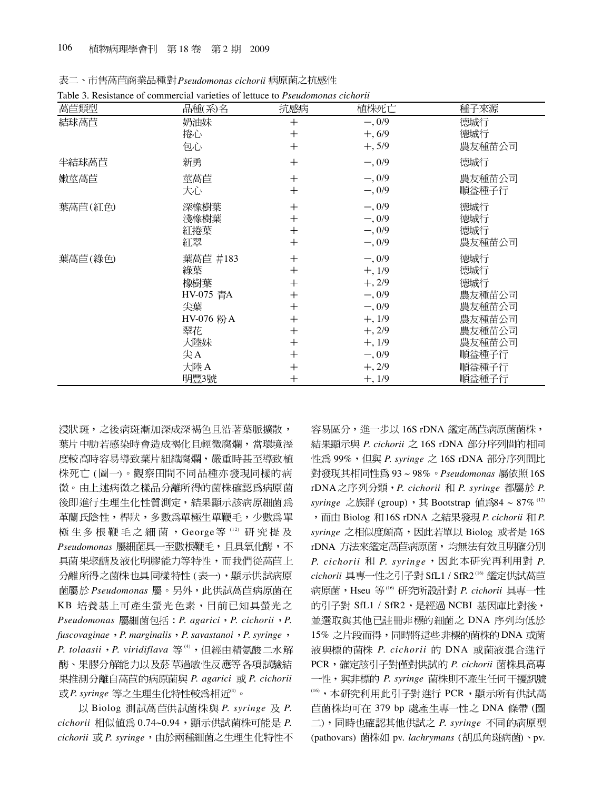| 萵苣類型    | 品種(系)名     | 抗感病                | 植株死亡     | 種子來源   |
|---------|------------|--------------------|----------|--------|
| 結球萵苣    | 奶油妹        | $^{+}$             | $-, 0/9$ | 德城行    |
|         | 捲心         | $^{+}$             | $+, 6/9$ | 德城行    |
|         | 包心         | $\hspace{0.1mm} +$ | $+, 5/9$ | 農友種苗公司 |
| 半結球萵苣   | 新勇         | $^{+}$             | $-, 0/9$ | 德城行    |
| 嫩莖高苣    | 莖萵苣        | $^{+}$             | $-, 0/9$ | 農友種苗公司 |
|         | 大心         | $^{+}$             | $-, 0/9$ | 順益種子行  |
| 葉萵苣(紅色) | 深橡樹葉       | $^{+}$             | $-, 0/9$ | 德城行    |
|         | 淺橡樹葉       | $^{+}$             | $-, 0/9$ | 德城行    |
|         | 紅捲葉        | $^{+}$             | $-, 0/9$ | 德城行    |
|         | 紅翠         | $^{+}$             | $-, 0/9$ | 農友種苗公司 |
| 葉萵苣(綠色) | 葉萵苣 #183   | $^{+}$             | $-, 0/9$ | 德城行    |
|         | 綠葉         | $^{+}$             | $+, 1/9$ | 德城行    |
|         | 橡樹葉        | $^{+}$             | $+, 2/9$ | 德城行    |
|         | HV-075 青A  | $^{+}$             | $-, 0/9$ | 農友種苗公司 |
|         | 尖葉         | $^{+}$             | $-, 0/9$ | 農友種苗公司 |
|         | HV-076 粉 A | $\hspace{0.1mm} +$ | $+, 1/9$ | 農友種苗公司 |
|         | 翠花         | $\hspace{0.1mm} +$ | $+, 2/9$ | 農友種苗公司 |
|         | 大陸妹        | $\hspace{0.1mm} +$ | $+, 1/9$ | 農友種苗公司 |
|         | 尖A         | $\hspace{0.1mm} +$ | $-, 0/9$ | 順益種子行  |
|         | 大陸 A       | $\hspace{0.1mm} +$ | $+, 2/9$ | 順益種子行  |
|         | 明豐3號       | $\mathrm{+}$       | $+, 1/9$ | 順益種子行  |

表二、市售萵苣商業品種對 Pseudomonas cichorii 病原菌之抗感性 Table 3. Resistance of commercial varieties of lettuce to *Pseudomonas cichorii*

浸狀斑,之後病斑漸加深成深褐色且沿著葉脈擴散, 葉片中肋若感染時會造成褐化且輕微腐爛,當環境涇 度較高時容易導致葉片組織腐爛,嚴重時甚至導致植 株死亡(圖一)。觀察田間不同品種亦發現同樣的病 徵。由上述病徵之樣品分離所得的菌株確認為病原菌 後即進行生理生化性質測定,結果顯示該病原細菌為 革蘭氏陰性,桿狀,多數為單極生單鞭毛,少數為單 極生多根鞭毛之細菌,George等(12)研究提及 *Pseudomonas*  具菌果聚醣及液化明膠能力等特性,而我們從萵苣上 分離所得之菌株也具同樣特性 (表一),顯示供試病原 *Pseudomonas* KB 培養基上可產生螢光色素,目前已知具螢光之 *Pseudomonas P. agarici P. cichorii P. fuscovaginae P. marginalis P. savastanoi P. syringe P. tolaasii P. viridiflava* (4) 酶、果膠分解能力以及菸草過敏性反應等各項試驗結 *P. agarici P. cichorii*  $\vec{E}$  *R. syringe* 等之生理生化特性較為相近(4)。

以 Biolog 測試萵苣供試菌株與 P. syringe 及 P.  $cichorii$  相似値為 0.74~0.94, 顯示供試菌株可能是 P. *cichorii* 或 P. syringe,由於兩種細菌之生理生化特性不

容易區分,進一步以 16S rDNA 鑑定萵苣病原菌菌株, 結果顯示與 *P. cichorii* 之 16S rDNA 部分序列間的相同 性為 99%, 但與 *P. syringe* 之 16S rDNA 部分序列間比 對發現其相同性爲 93~98% · Pseudomonas 屬依照 16S rDNA 之序列分類, P. cichorii 和 P. syringe 都屬於 P. *syringe* 之族群 (group), 其 Bootstrap 值爲84 ~ 87% (12) ,而由 Biolog 和 16S rDNA 之結果發現 *P. cichorii* 和 *P. syringe* 之相似度頗高,因此若單以 Biolog 或者是 16S rDNA 方法來鑑定萵苣病原菌,均無法有效且明確分別 *P. cichorii P. syringe P.* cichorii 具專一性之引子對 SfL1 / SfR2<sup>16</sup> 鑑定供試萵苣 病原菌,Hseu 等<sup>16</sup> 研究所設計對 *P. cichorii* 具專一性 的引子對 SfL1 / SfR2, 是經過 NCBI 基因庫比對後, 並選取與其他已註冊非標的細菌之 DNA 序列均低於 15% 之片段而得,同時將這些非標的菌株的 DNA 或菌 液與標的菌株 P. cichorii 的 DNA 或菌液混合進行 PCR, 確定該引子對僅對供試的 P. cichorii 菌株具高專 一性, 與非標的 P. syringe 菌株則不產生任何干擾訊號 <sup>(16)</sup>, 本研究利用此引子對進行 PCR, 顯示所有供試萵 苣菌株均可在 379 bp 處產生專一性之 DNA 條帶 (圖 二),同時也確認其他供試之 P. syringe 不同的病原型 (pathovars) 菌株如 pv. *lachrymans* (胡瓜角斑病菌)、pv.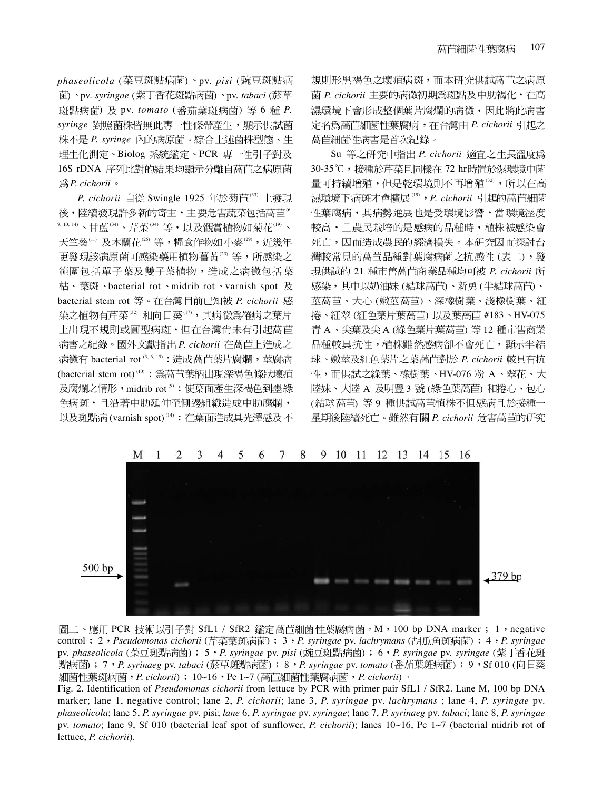$phaseolicola$  (菜豆斑點病菌)、pv. pisi (豌豆斑點病 菌)、pv. syringae (紫丁香花斑點病菌)、pv. tabaci (菸草 斑點病菌) 及 pv. tomato (番茄葉斑病菌) 等 6 種 P. syringe 對照菌株皆無此專一性條帶產生,顯示供試菌 *P. syringe*  理生化測定、Biolog 系統鑑定、PCR 專一性引子對及 16S rDNA 序列比對的結果均顯示分離自萵苣之病原菌 *P. cichorii*

 $P.$  cichorii 自從 Swingle 1925 年於菊苣(33) 上發現 後,陸續發現許多新的寄主,主要危害蔬菜包括萵苣<sup>6</sup> 9, 10, 14) 、甘藍(34)、芹菜(34) 等,以及觀賞植物如菊花(19) 、 天竺葵(11) 及木蘭花(25) 等,糧食作物如小麥(29),近幾年 更發現該病原菌可感染藥用植物薑黃(23)等,所感染之 範圍包括單子葉及雙子葉植物,造成之病徵包括葉 枯、葉斑、bacterial rot、midrib rot、varnish spot 及 bacterial stem rot 等。在台灣目前已知被 P. cichorii 感 染之植物有芹菜(32) 和向日葵(17),其病徵為罹病之葉片 上出現不規則或圓型病斑,但在台灣尚未有引起萵苣 病害之紀錄。國外文獻指出 P. cichorii 在萵苣上造成之 病徵有 bacterial rot<sup>(3, 6, 15)</sup>: 造成 萵苣葉片腐爛, 莖腐病 (bacterial stem rot)<sup>(10)</sup>: 為萵苣葉柄出現深褐色條狀壞疽 及腐爛之情形, midrib rot<sup>®</sup>: 使葉面產生深褐色到墨綠 色病斑,且沿著中肋延伸至側邊組織造成中肋腐爛, 以及斑點病(varnish spot)<sup>(14)</sup>: 在葉面造成具光澤感及不 規則形黑褐色之壞疽病斑,而本研究供試萵苣之病原 菌 P. cichorii 主要的病徵初期為斑點及中肋褐化, 在高 濕環境下會形成整個葉片腐爛的病徵,因此將此病害 *P. cichorii*  萵苣細菌性病害是首次紀錄。

Su 等之研究中指出 P. cichorii 適宜之生長溫度為 30-35℃,接種於芹菜且同樣在 72 hr時置於濕環境中菌 量可持續增殖,但是乾環境則不再增殖(32),所以在高 濕環境下病斑才會擴展(19), P. cichorii 引起的萵苣細菌 性葉腐病,其病勢進展也是受環境影響,當環境溼度 較高,且農民栽培的是感病的品種時,植株被感染會 死亡,因而造成農民的經濟損失。本研究因而探討台 灣較常見的萵苣品種對葉腐病菌之抗感性 (表二),發 現供試的 21 種市售萵苣商業品種均可被 P. cichorii 所 感染,其中以奶油妹 (結球萵苣)、新勇 (半結球萵苣)、 莖萵苣、大心 (嫩莖萵苣)、深橡樹葉、淺橡樹葉、紅 捲、紅翠 (紅色葉片葉萵苣) 以及葉萵苣 #183、HV-075 青 A、尖葉及尖 A (綠色葉片葉萵苣) 等 12 種市售商業 品種較具抗性,植株雖然感病卻不會死亡,顯示半結 球、嫩莖及紅色葉片之葉萵苣對於 P. cichorii 較具有抗 性,而供試之綠葉、橡樹葉、HV-076 粉 A、翠花、大 陸妹、大陸 A 及明豐 3 號 (綠色葉萵苣) 和捲心、包心 (結球萵苣) 等 9 種供試萵苣植株不但感病且於接種一 星期後陸續死亡。雖然有關 P. cichorii 危害萵苣的研究



#### 7 8 9 10 11 12 13 14 15 16  $\mathbf{1}$ 3  $\overline{4}$ 5 6

圖二、應用 PCR 技術以引子對 SfL1 / SfR2 鑑定萵苣細菌性葉腐病菌。M,100 bp DNA marker ; 1,negative control : 2, *Pseudomonas cichorii* (芹菜葉斑病菌) : 3, *P. syringae* pv. *lachrymans* (胡瓜角斑病菌) : 4, *P. syringae* pv. *phaseolicola* (菜豆斑點病菌) ; 5 *· P. syringae* pv. *pisi* (豌豆斑點病菌) ; 6 *· P. syringae* pv. *syringae* (紫丁香花斑 ) 7 *P. syrinaeg* pv. *tabaci* ( ) 8 *P. syringae* pv. *tomato* ( ) 9 Sf 010 ( 細菌性葉斑病菌,*P. cichorii*) ; 10~16,Pc 1~7 (萵苣細菌性葉腐病菌,*P. cichorii*)。

Fig. 2. Identification of *Pseudomonas cichorii* from lettuce by PCR with primer pair SfL1 / SfR2. Lane M, 100 bp DNA marker; lane 1, negative control; lane 2, *P. cichorii*; lane 3, *P. syringae* pv. *lachrymans* ; lane 4, *P. syringae* pv. *phaseolicola*; lane 5, *P. syringae* pv. pisi; *lane* 6, *P. syringae* pv. *syringae*; lane 7, *P. syrinaeg* pv. *tabaci*; lane 8, *P. syringae* pv. *tomato*; lane 9, Sf 010 (bacterial leaf spot of sunflower, *P. cichorii*); lanes 10~16, Pc 1~7 (bacterial midrib rot of lettuce, *P. cichorii*).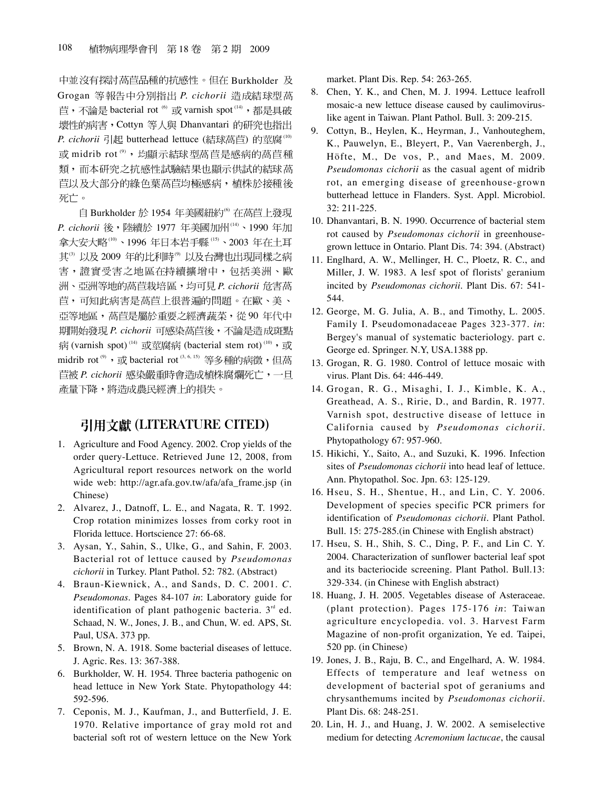中並沒有探討萵苣品種的抗感性。但在 Burkholder 及 Grogan 等報告中分別指出 P. cichorii 造成結球型萵 苣, 不論是 bacterial rot (6) 或 varnish spot (14), 都是具破 壞性的病害, Cottyn 等人與 Dhanvantari 的研究也指出  $P.$  cichorii 引起 butterhead lettuce (結球萵苣) 的莖腐(10) 或 midrib rot<sup>(9)</sup>, 均顯示結球型萵苣是感病的萵苣種 類,而本研究之抗感性試驗結果也顯示供試的結球萵 苣以及大部分的綠色葉萵苣均極感病,植株於接種後 死亡。

自 Burkholder 於 1954 年美國紐約<sup>6</sup> 在萵苣上發現 *P. cichorii* 後,陸續於 1977 年美國加州(14)、1990 年加 拿大安大略(10)、1996年日本岩手縣(15)、2003年在土耳 其<sup>3</sup>以及2009年的比利時<sup>9</sup>以及台灣也出現同樣之病 害,證實受害之地區在持續擴增中,包括美洲、歐 洲、亞洲等地的萵苣栽培區,均可見 P. cichorii 危害萵 苣,可知此病害是萵苣上很普遍的問題。在歐、美、 亞等地區, 萵苣是屬於重要之經濟蔬菜, 從90年代中 **期開始發現 P. cichorii 可感染萵苣後,不論是造成斑點** 病 (varnish spot)<sup>(14)</sup> 或莖腐病 (bacterial stem rot)<sup>(10)</sup>, 或 midrib rot<sup>(9)</sup>, 或 bacterial rot<sup>(3, 6, 15)</sup> 等多種的病徵, 但萵 *P. cichorii*  產量下降,將造成農民經濟上的損失。

### 引用文獻 (LITERATURE CITED)

- 1. Agriculture and Food Agency. 2002. Crop yields of the order query-Lettuce. Retrieved June 12, 2008, from Agricultural report resources network on the world wide web: http://agr.afa.gov.tw/afa/afa\_frame.jsp (in Chinese)
- 2. Alvarez, J., Datnoff, L. E., and Nagata, R. T. 1992. Crop rotation minimizes losses from corky root in Florida lettuce. Hortscience 27: 66-68.
- 3. Aysan, Y., Sahin, S., Ulke, G., and Sahin, F. 2003. Bacterial rot of lettuce caused by *Pseudomonas cichorii* in Turkey. Plant Pathol. 52: 782. (Abstract)
- 4. Braun-Kiewnick, A., and Sands, D. C. 2001. *C. Pseudomonas*. Pages 84-107 *in*: Laboratory guide for identification of plant pathogenic bacteria.  $3<sup>rd</sup>$  ed. Schaad, N. W., Jones, J. B., and Chun, W. ed. APS, St. Paul, USA. 373 pp.
- 5. Brown, N. A. 1918. Some bacterial diseases of lettuce. J. Agric. Res. 13: 367-388.
- 6. Burkholder, W. H. 1954. Three bacteria pathogenic on head lettuce in New York State. Phytopathology 44: 592-596.
- 7. Ceponis, M. J., Kaufman, J., and Butterfield, J. E. 1970. Relative importance of gray mold rot and bacterial soft rot of western lettuce on the New York

market. Plant Dis. Rep. 54: 263-265.

- 8. Chen, Y. K., and Chen, M. J. 1994. Lettuce leafroll mosaic-a new lettuce disease caused by caulimoviruslike agent in Taiwan. Plant Pathol. Bull. 3: 209-215.
- 9. Cottyn, B., Heylen, K., Heyrman, J., Vanhouteghem, K., Pauwelyn, E., Bleyert, P., Van Vaerenbergh, J., Höfte, M., De vos, P., and Maes, M. 2009. *Pseudomonas cichorii* as the casual agent of midrib rot, an emerging disease of greenhouse-grown butterhead lettuce in Flanders. Syst. Appl. Microbiol. 32: 211-225.
- 10. Dhanvantari, B. N. 1990. Occurrence of bacterial stem rot caused by *Pseudomonas cichorii* in greenhousegrown lettuce in Ontario. Plant Dis. 74: 394. (Abstract)
- 11. Englhard, A. W., Mellinger, H. C., Ploetz, R. C., and Miller, J. W. 1983. A lesf spot of florists' geranium incited by *Pseudomonas cichorii*. Plant Dis. 67: 541- 544.
- 12. George, M. G. Julia, A. B., and Timothy, L. 2005. Family I. Pseudomonadaceae Pages 323-377. *in*: Bergey's manual of systematic bacteriology. part c. George ed. Springer. N.Y, USA.1388 pp.
- 13. Grogan, R. G. 1980. Control of lettuce mosaic with virus. Plant Dis. 64: 446-449.
- 14. Grogan, R. G., Misaghi, I. J., Kimble, K. A., Greathead, A. S., Ririe, D., and Bardin, R. 1977. Varnish spot, destructive disease of lettuce in California caused by *Pseudomonas cichorii*. Phytopathology 67: 957-960.
- 15. Hikichi, Y., Saito, A., and Suzuki, K. 1996. Infection sites of *Pseudomonas cichorii* into head leaf of lettuce. Ann. Phytopathol. Soc. Jpn. 63: 125-129.
- 16. Hseu, S. H., Shentue, H., and Lin, C. Y. 2006. Development of species specific PCR primers for identification of *Pseudomonas cichorii*. Plant Pathol. Bull. 15: 275-285.(in Chinese with English abstract)
- 17. Hseu, S. H., Shih, S. C., Ding, P. F., and Lin C. Y. 2004. Characterization of sunflower bacterial leaf spot and its bacteriocide screening. Plant Pathol. Bull.13: 329-334. (in Chinese with English abstract)
- 18. Huang, J. H. 2005. Vegetables disease of Asteraceae. (plant protection). Pages 175-176 *in*: Taiwan agriculture encyclopedia. vol. 3. Harvest Farm Magazine of non-profit organization, Ye ed. Taipei, 520 pp. (in Chinese)
- 19. Jones, J. B., Raju, B. C., and Engelhard, A. W. 1984. Effects of temperature and leaf wetness on development of bacterial spot of geraniums and chrysanthemums incited by *Pseudomonas cichorii*. Plant Dis. 68: 248-251.
- 20. Lin, H. J., and Huang, J. W. 2002. A semiselective medium for detecting *Acremonium lactucae*, the causal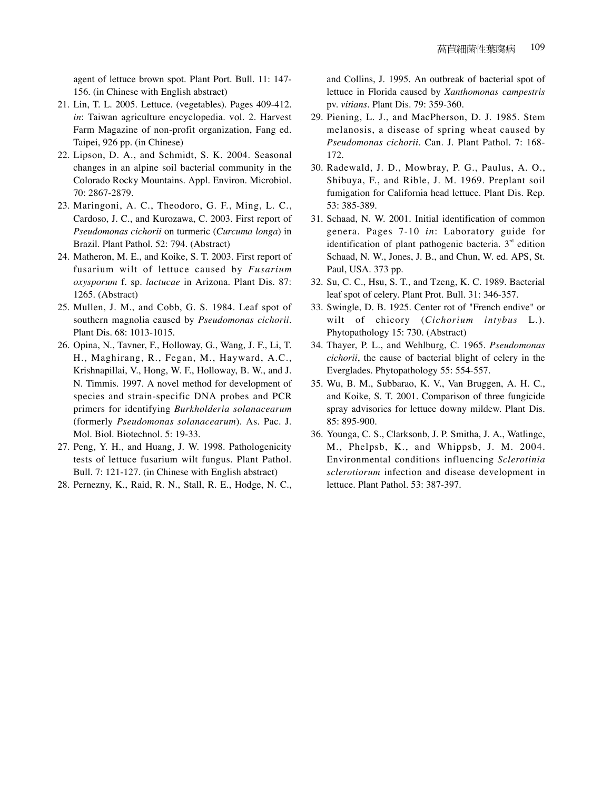agent of lettuce brown spot. Plant Port. Bull. 11: 147- 156. (in Chinese with English abstract)

- 21. Lin, T. L. 2005. Lettuce. (vegetables). Pages 409-412. *in*: Taiwan agriculture encyclopedia. vol. 2. Harvest Farm Magazine of non-profit organization, Fang ed. Taipei, 926 pp. (in Chinese)
- 22. Lipson, D. A., and Schmidt, S. K. 2004. Seasonal changes in an alpine soil bacterial community in the Colorado Rocky Mountains. Appl. Environ. Microbiol. 70: 2867-2879.
- 23. Maringoni, A. C., Theodoro, G. F., Ming, L. C., Cardoso, J. C., and Kurozawa, C. 2003. First report of *Pseudomonas cichorii* on turmeric (*Curcuma longa*) in Brazil. Plant Pathol. 52: 794. (Abstract)
- 24. Matheron, M. E., and Koike, S. T. 2003. First report of fusarium wilt of lettuce caused by *Fusarium oxysporum* f. sp. *lactucae* in Arizona. Plant Dis. 87: 1265. (Abstract)
- 25. Mullen, J. M., and Cobb, G. S. 1984. Leaf spot of southern magnolia caused by *Pseudomonas cichorii*. Plant Dis. 68: 1013-1015.
- 26. Opina, N., Tavner, F., Holloway, G., Wang, J. F., Li, T. H., Maghirang, R., Fegan, M., Hayward, A.C., Krishnapillai, V., Hong, W. F., Holloway, B. W., and J. N. Timmis. 1997. A novel method for development of species and strain-specific DNA probes and PCR primers for identifying *Burkholderia solanacearum* (formerly *Pseudomonas solanacearum*). As. Pac. J. Mol. Biol. Biotechnol. 5: 19-33.
- 27. Peng, Y. H., and Huang, J. W. 1998. Pathologenicity tests of lettuce fusarium wilt fungus. Plant Pathol. Bull. 7: 121-127. (in Chinese with English abstract)
- 28. Pernezny, K., Raid, R. N., Stall, R. E., Hodge, N. C.,

and Collins, J. 1995. An outbreak of bacterial spot of lettuce in Florida caused by *Xanthomonas campestris* pv. *vitians*. Plant Dis. 79: 359-360.

- 29. Piening, L. J., and MacPherson, D. J. 1985. Stem melanosis, a disease of spring wheat caused by *Pseudomonas cichorii*. Can. J. Plant Pathol. 7: 168- 172.
- 30. Radewald, J. D., Mowbray, P. G., Paulus, A. O., Shibuya, F., and Rible, J. M. 1969. Preplant soil fumigation for California head lettuce. Plant Dis. Rep. 53: 385-389.
- 31. Schaad, N. W. 2001. Initial identification of common genera. Pages 7-10 *in*: Laboratory guide for identification of plant pathogenic bacteria.  $3<sup>rd</sup>$  edition Schaad, N. W., Jones, J. B., and Chun, W. ed. APS, St. Paul, USA. 373 pp.
- 32. Su, C. C., Hsu, S. T., and Tzeng, K. C. 1989. Bacterial leaf spot of celery. Plant Prot. Bull. 31: 346-357.
- 33. Swingle, D. B. 1925. Center rot of "French endive" or wilt of chicory (*Cichorium intybus* L.). Phytopathology 15: 730. (Abstract)
- 34. Thayer, P. L., and Wehlburg, C. 1965. *Pseudomonas cichorii*, the cause of bacterial blight of celery in the Everglades. Phytopathology 55: 554-557.
- 35. Wu, B. M., Subbarao, K. V., Van Bruggen, A. H. C., and Koike, S. T. 2001. Comparison of three fungicide spray advisories for lettuce downy mildew. Plant Dis. 85: 895-900.
- 36. Younga, C. S., Clarksonb, J. P. Smitha, J. A., Watlingc, M., Phelpsb, K., and Whippsb, J. M. 2004. Environmental conditions influencing *Sclerotinia sclerotiorum* infection and disease development in lettuce. Plant Pathol. 53: 387-397.